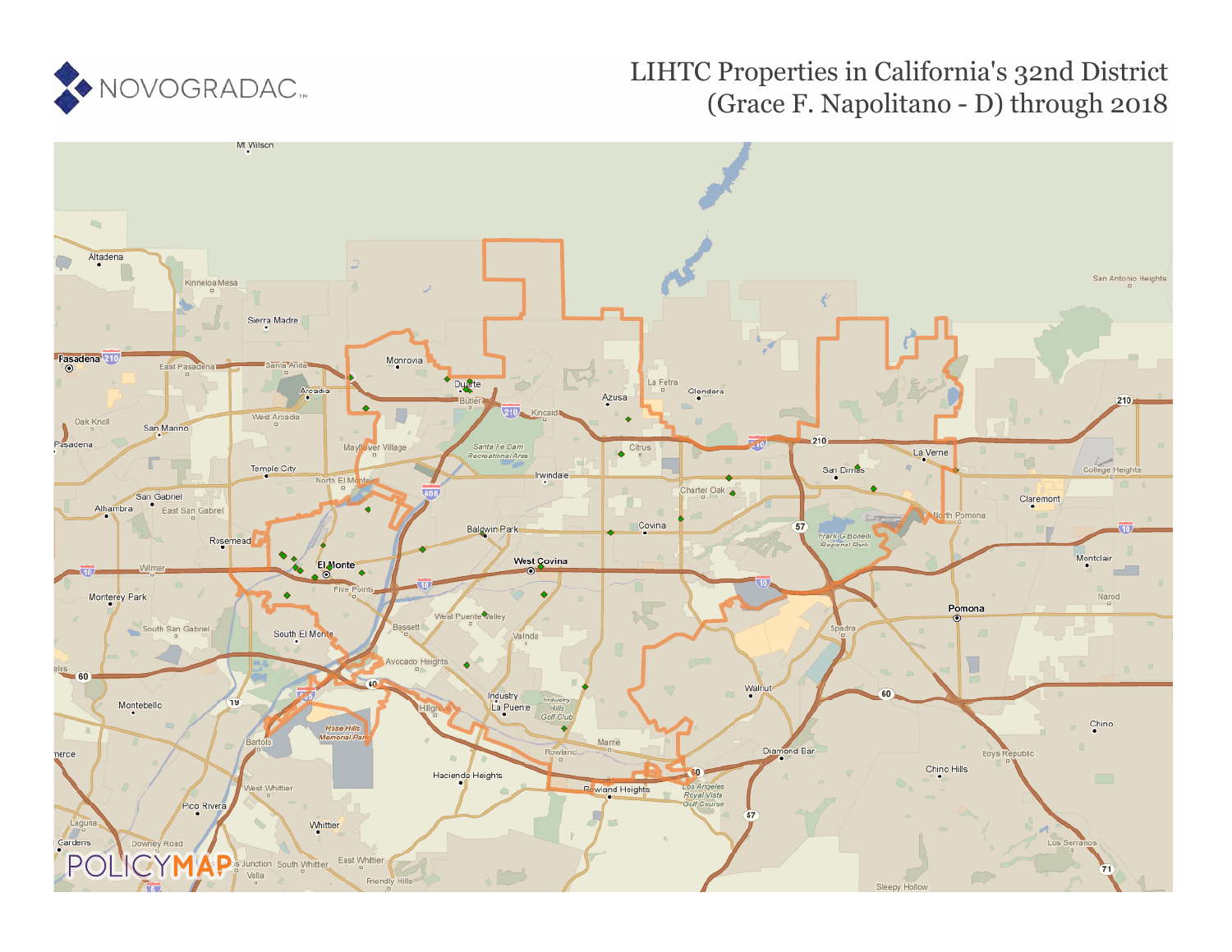

# LIHTC Properties in California's 32nd District (Grace F. Napolitano - D) through 2018

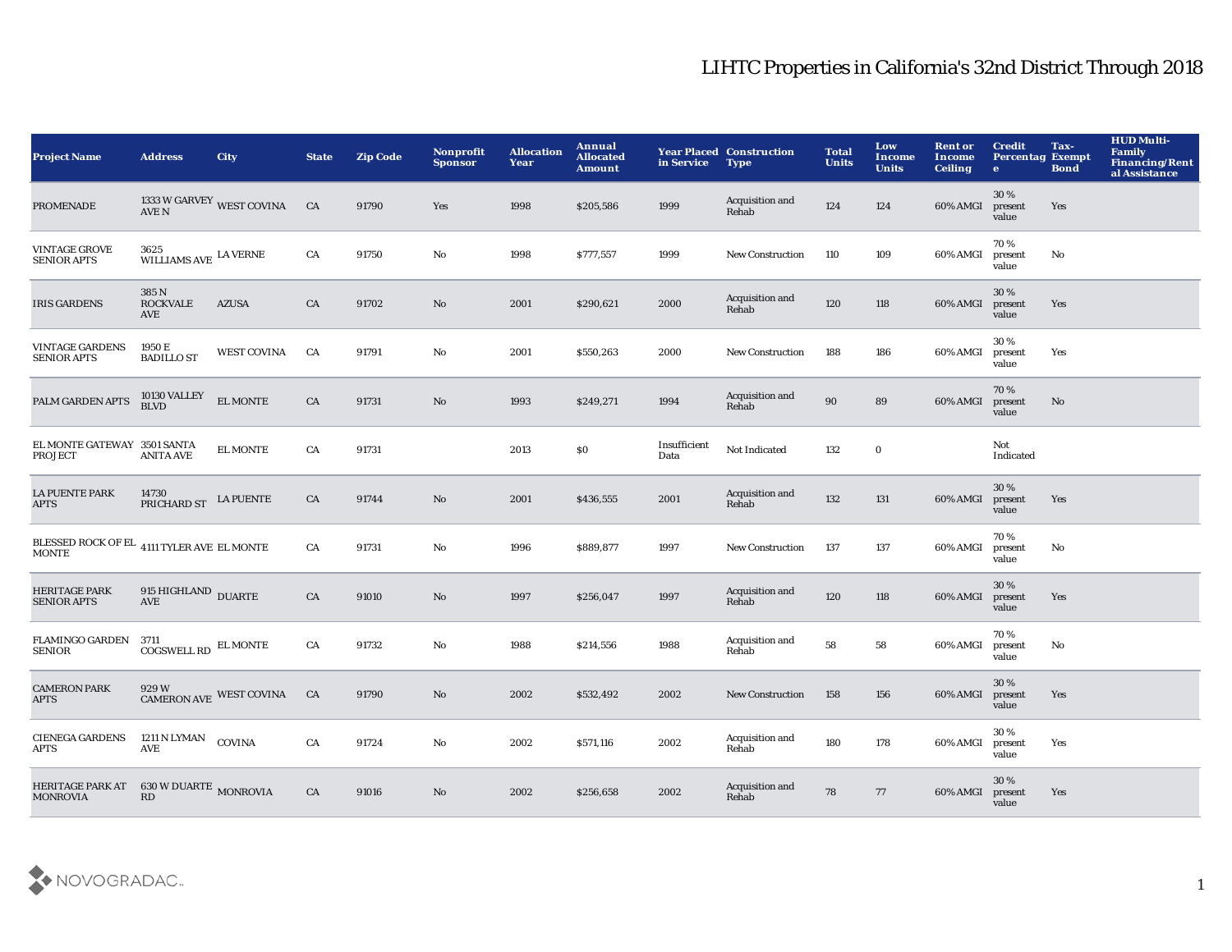| <b>Project Name</b>                                                  | <b>Address</b>                            | <b>City</b>                                                                                                     | <b>State</b> | <b>Zip Code</b> | Nonprofit<br><b>Sponsor</b> | <b>Allocation</b><br>Year | <b>Annual</b><br><b>Allocated</b><br><b>Amount</b> | in Service           | <b>Year Placed Construction</b><br><b>Type</b> | <b>Total</b><br><b>Units</b> | Low<br><b>Income</b><br><b>Units</b> | <b>Rent or</b><br>Income<br><b>Ceiling</b> | <b>Credit</b><br><b>Percentag Exempt</b><br>$\bullet$ | Tax-<br><b>Bond</b> | <b>HUD Multi-</b><br><b>Family</b><br><b>Financing/Rent</b><br>al Assistance |
|----------------------------------------------------------------------|-------------------------------------------|-----------------------------------------------------------------------------------------------------------------|--------------|-----------------|-----------------------------|---------------------------|----------------------------------------------------|----------------------|------------------------------------------------|------------------------------|--------------------------------------|--------------------------------------------|-------------------------------------------------------|---------------------|------------------------------------------------------------------------------|
| <b>PROMENADE</b>                                                     |                                           | $\begin{array}{ll} 1333\text{ W} \text{ GARVEY} & \text{WEST COVINA} & \text{ CA}\\ \text{AVE N} & \end{array}$ |              | 91790           | Yes                         | 1998                      | \$205,586                                          | 1999                 | Acquisition and<br>Rehab                       | 124                          | 124                                  | 60% AMGI                                   | 30%<br>present<br>value                               | Yes                 |                                                                              |
| VINTAGE GROVE<br><b>SENIOR APTS</b>                                  | 3625<br>WILLIAMS AVE $\,$ LA VERNE        |                                                                                                                 | CA           | 91750           | No                          | 1998                      | \$777,557                                          | 1999                 | <b>New Construction</b>                        | 110                          | 109                                  | 60% AMGI                                   | 70%<br>present<br>value                               | No                  |                                                                              |
| <b>IRIS GARDENS</b>                                                  | 385 N<br><b>ROCKVALE</b><br>AVE           | <b>AZUSA</b>                                                                                                    | CA           | 91702           | $\mathbf{N}\mathbf{o}$      | 2001                      | \$290,621                                          | 2000                 | Acquisition and<br>Rehab                       | 120                          | 118                                  | 60% AMGI                                   | 30%<br>present<br>value                               | Yes                 |                                                                              |
| <b>VINTAGE GARDENS</b><br><b>SENIOR APTS</b>                         | 1950 E<br><b>BADILLO ST</b>               | <b>WEST COVINA</b>                                                                                              | CA           | 91791           | No                          | 2001                      | \$550,263                                          | 2000                 | <b>New Construction</b>                        | 188                          | 186                                  | 60% AMGI                                   | 30%<br>present<br>value                               | Yes                 |                                                                              |
| PALM GARDEN APTS                                                     | 10130 VALLEY<br>BLVD                      | <b>EL MONTE</b>                                                                                                 | CA           | 91731           | $\mathbf{N}\mathbf{o}$      | 1993                      | \$249,271                                          | 1994                 | Acquisition and<br>Rehab                       | 90                           | 89                                   | 60% AMGI                                   | 70%<br>present<br>value                               | No                  |                                                                              |
| EL MONTE GATEWAY 3501 SANTA<br>PROJECT                               | <b>ANITA AVE</b>                          | <b>EL MONTE</b>                                                                                                 | CA           | 91731           |                             | 2013                      | \$0                                                | Insufficient<br>Data | Not Indicated                                  | 132                          | $\mathbf 0$                          |                                            | Not<br>Indicated                                      |                     |                                                                              |
| <b>LA PUENTE PARK</b><br><b>APTS</b>                                 | 14730<br>PRICHARD ST                      | <b>LA PUENTE</b>                                                                                                | CA           | 91744           | No                          | 2001                      | \$436,555                                          | 2001                 | Acquisition and<br>Rehab                       | 132                          | 131                                  | 60% AMGI                                   | 30 %<br>present<br>value                              | Yes                 |                                                                              |
| BLESSED ROCK OF EL $\,$ 4111 TYLER AVE $\,$ EL MONTE<br><b>MONTE</b> |                                           |                                                                                                                 | CA           | 91731           | No                          | 1996                      | \$889,877                                          | 1997                 | <b>New Construction</b>                        | 137                          | 137                                  | 60% AMGI                                   | 70%<br>present<br>value                               | No                  |                                                                              |
| <b>HERITAGE PARK</b><br><b>SENIOR APTS</b>                           | 915 HIGHLAND DUARTE<br>AVE                |                                                                                                                 | CA           | 91010           | No                          | 1997                      | \$256,047                                          | 1997                 | Acquisition and<br>Rehab                       | 120                          | 118                                  | 60% AMGI                                   | 30%<br>present<br>value                               | Yes                 |                                                                              |
| FLAMINGO GARDEN 3711<br><b>SENIOR</b>                                | ${\rm COGSWELL}$ RD $\,$ EL MONTE         |                                                                                                                 | CA           | 91732           | No                          | 1988                      | \$214,556                                          | 1988                 | Acquisition and<br>Rehab                       | 58                           | 58                                   | 60% AMGI                                   | 70%<br>present<br>value                               | No                  |                                                                              |
| <b>CAMERON PARK</b><br><b>APTS</b>                                   |                                           | CAMERON AVE WEST COVINA CA                                                                                      |              | 91790           | No                          | 2002                      | \$532,492                                          | 2002                 | <b>New Construction</b>                        | 158                          | 156                                  | 60% AMGI                                   | 30%<br>present<br>value                               | Yes                 |                                                                              |
| <b>CIENEGA GARDENS</b><br><b>APTS</b>                                | 1211 N LYMAN<br><b>AVE</b>                | <b>COVINA</b>                                                                                                   | CA           | 91724           | No                          | 2002                      | \$571,116                                          | 2002                 | Acquisition and<br>Rehab                       | 180                          | 178                                  | 60% AMGI                                   | 30%<br>present<br>value                               | Yes                 |                                                                              |
| <b>HERITAGE PARK AT</b><br><b>MONROVIA</b>                           | $630\,\rm{W}\,\rm{DUARTE}$ MONROVIA<br>RD |                                                                                                                 | CA           | 91016           | No                          | 2002                      | \$256,658                                          | 2002                 | Acquisition and<br>Rehab                       | 78                           | 77                                   | 60% AMGI                                   | 30 %<br>present<br>value                              | Yes                 |                                                                              |

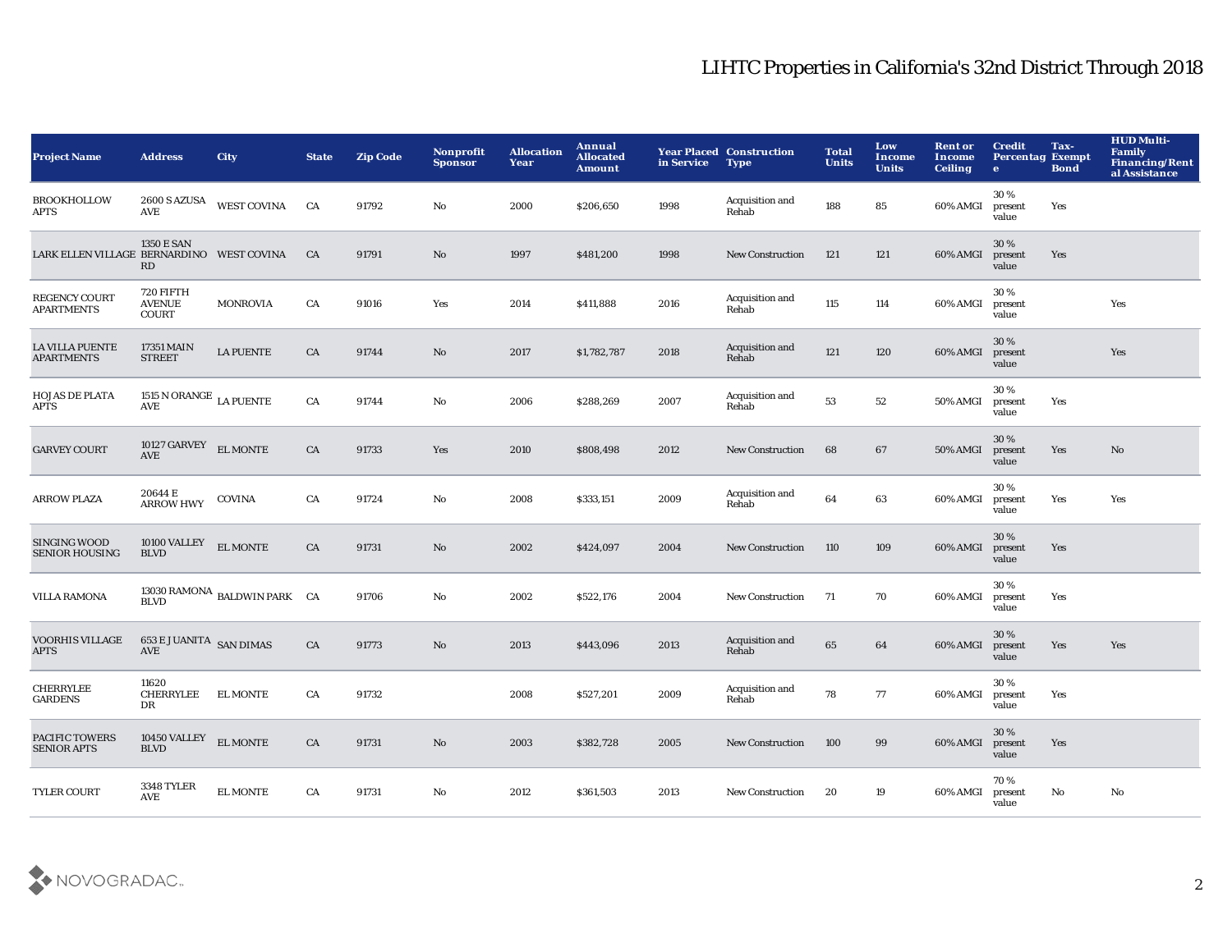| <b>Project Name</b>                          | <b>Address</b>                             | <b>City</b>                             | <b>State</b> | <b>Zip Code</b> | <b>Nonprofit</b><br><b>Sponsor</b> | <b>Allocation</b><br>Year | Annual<br><b>Allocated</b><br><b>Amount</b> | in Service | <b>Year Placed Construction</b><br><b>Type</b> | <b>Total</b><br><b>Units</b> | Low<br><b>Income</b><br><b>Units</b> | <b>Rent or</b><br>Income<br><b>Ceiling</b> | <b>Credit</b><br><b>Percentag Exempt</b><br>$\mathbf{e}$ | Tax-<br><b>Bond</b> | <b>HUD Multi-</b><br>Family<br><b>Financing/Rent</b><br>al Assistance |
|----------------------------------------------|--------------------------------------------|-----------------------------------------|--------------|-----------------|------------------------------------|---------------------------|---------------------------------------------|------------|------------------------------------------------|------------------------------|--------------------------------------|--------------------------------------------|----------------------------------------------------------|---------------------|-----------------------------------------------------------------------|
| <b>BROOKHOLLOW</b><br>APTS                   | <b>AVE</b>                                 | 2600 S AZUSA WEST COVINA                | <b>CA</b>    | 91792           | No                                 | 2000                      | \$206,650                                   | 1998       | Acquisition and<br>Rehab                       | 188                          | 85                                   | 60% AMGI                                   | 30%<br>present<br>value                                  | Yes                 |                                                                       |
| LARK ELLEN VILLAGE BERNARDINO WEST COVINA    | <b>1350 E SAN</b><br>RD                    |                                         | CA           | 91791           | $\mathbf{N}\mathbf{o}$             | 1997                      | \$481,200                                   | 1998       | <b>New Construction</b>                        | 121                          | 121                                  | 60% AMGI                                   | 30%<br>present<br>value                                  | Yes                 |                                                                       |
| REGENCY COURT<br><b>APARTMENTS</b>           | 720 FIFTH<br><b>AVENUE</b><br>COURT        | <b>MONROVIA</b>                         | CA           | 91016           | Yes                                | 2014                      | \$411,888                                   | 2016       | Acquisition and<br>Rehab                       | 115                          | 114                                  | 60% AMGI                                   | 30%<br>present<br>value                                  |                     | Yes                                                                   |
| <b>LA VILLA PUENTE</b><br><b>APARTMENTS</b>  | 17351 MAIN<br><b>STREET</b>                | <b>LA PUENTE</b>                        | CA           | 91744           | $\mathbf{N}\mathbf{o}$             | 2017                      | \$1,782,787                                 | 2018       | Acquisition and<br>Rehab                       | 121                          | 120                                  | 60% AMGI                                   | 30%<br>present<br>value                                  |                     | Yes                                                                   |
| <b>HOJAS DE PLATA</b><br>APTS                | 1515 N ORANGE $\,$ LA PUENTE<br><b>AVE</b> |                                         | CA           | 91744           | No                                 | 2006                      | \$288,269                                   | 2007       | Acquisition and<br>Rehab                       | 53                           | ${\bf 52}$                           | <b>50% AMGI</b>                            | 30%<br>present<br>value                                  | Yes                 |                                                                       |
| <b>GARVEY COURT</b>                          | 10127 GARVEY $\quad$ EL MONTE<br>AVE       |                                         | CA           | 91733           | Yes                                | 2010                      | \$808,498                                   | 2012       | <b>New Construction</b>                        | 68                           | 67                                   | <b>50% AMGI</b>                            | 30%<br>present<br>value                                  | Yes                 | No                                                                    |
| <b>ARROW PLAZA</b>                           | 20644 E<br><b>ARROW HWY</b>                | <b>COVINA</b>                           | CA           | 91724           | $\rm No$                           | 2008                      | \$333,151                                   | 2009       | Acquisition and<br>Rehab                       | 64                           | 63                                   | 60% AMGI                                   | 30%<br>present<br>value                                  | Yes                 | Yes                                                                   |
| <b>SINGING WOOD</b><br><b>SENIOR HOUSING</b> | 10100 VALLEY<br><b>BLVD</b>                | <b>EL MONTE</b>                         | ${\rm CA}$   | 91731           | $\rm No$                           | 2002                      | \$424,097                                   | 2004       | <b>New Construction</b>                        | 110                          | 109                                  | 60% AMGI                                   | 30%<br>present<br>value                                  | Yes                 |                                                                       |
| <b>VILLA RAMONA</b>                          | <b>BLVD</b>                                | 13030 RAMONA BALDWIN PARK $CA$          |              | 91706           | $\mathbf{No}$                      | 2002                      | \$522,176                                   | 2004       | New Construction                               | 71                           | 70                                   | 60% AMGI                                   | 30%<br>present<br>value                                  | Yes                 |                                                                       |
| <b>VOORHIS VILLAGE</b><br><b>APTS</b>        | <b>653 E JUANITA SAN DIMAS</b><br>AVE      |                                         | CA           | 91773           | $\rm No$                           | 2013                      | \$443,096                                   | 2013       | Acquisition and<br>Rehab                       | 65                           | 64                                   | 60% AMGI                                   | 30%<br>present<br>value                                  | Yes                 | Yes                                                                   |
| <b>CHERRYLEE</b><br><b>GARDENS</b>           | 11620<br>CHERRYLEE<br>DR                   | <b>EL MONTE</b>                         | CA           | 91732           |                                    | 2008                      | \$527,201                                   | 2009       | Acquisition and<br>Rehab                       | 78                           | 77                                   | 60% AMGI                                   | 30%<br>present<br>value                                  | Yes                 |                                                                       |
| <b>PACIFIC TOWERS</b><br><b>SENIOR APTS</b>  | 10450 VALLEY<br><b>BLVD</b>                | $\mathop{\hbox{\rm EL}}\nolimits$ MONTE | CA           | 91731           | No                                 | 2003                      | \$382,728                                   | 2005       | <b>New Construction</b>                        | 100                          | 99                                   | 60% AMGI                                   | 30%<br>present<br>value                                  | Yes                 |                                                                       |
| <b>TYLER COURT</b>                           | <b>3348 TYLER</b><br>AVE                   | <b>EL MONTE</b>                         | CA           | 91731           | No                                 | 2012                      | \$361,503                                   | 2013       | <b>New Construction</b>                        | 20                           | 19                                   | 60% AMGI                                   | 70%<br>present<br>value                                  | No                  | No                                                                    |

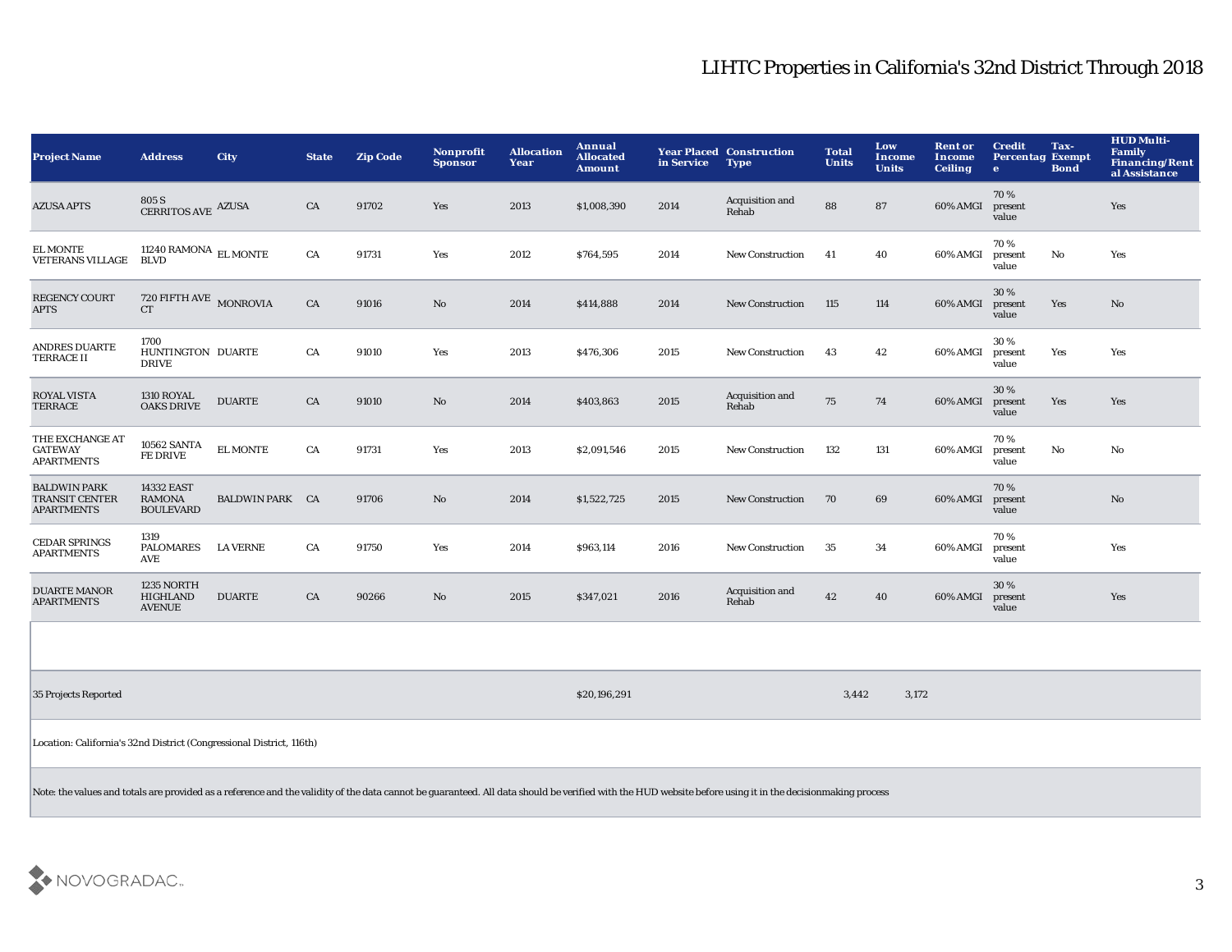| <b>Project Name</b>                                                                                                                                                                                       | <b>Address</b>                                  | <b>City</b>            | <b>State</b> | <b>Zip Code</b> | Nonprofit<br><b>Sponsor</b> | <b>Allocation</b><br>Year | Annual<br><b>Allocated</b><br><b>Amount</b> | in Service | <b>Year Placed Construction</b><br><b>Type</b> | <b>Total</b><br><b>Units</b> | Low<br><b>Income</b><br><b>Units</b> | <b>Rent or</b><br>Income<br><b>Ceiling</b> | <b>Credit</b><br><b>Percentag Exempt</b><br>$\mathbf{e}$ | Tax-<br><b>Bond</b> | <b>HUD Multi-</b><br><b>Family</b><br><b>Financing/Rent</b><br>al Assistance |
|-----------------------------------------------------------------------------------------------------------------------------------------------------------------------------------------------------------|-------------------------------------------------|------------------------|--------------|-----------------|-----------------------------|---------------------------|---------------------------------------------|------------|------------------------------------------------|------------------------------|--------------------------------------|--------------------------------------------|----------------------------------------------------------|---------------------|------------------------------------------------------------------------------|
| <b>AZUSA APTS</b>                                                                                                                                                                                         | $805$ S $\,$ CERRITOS AVE $\,$ AZUSA $\,$       |                        | CA           | 91702           | Yes                         | 2013                      | \$1,008,390                                 | 2014       | Acquisition and<br>Rehab                       | 88                           | 87                                   | 60% AMGI                                   | 70%<br>present<br>value                                  |                     | Yes                                                                          |
| <b>EL MONTE</b><br><b>VETERANS VILLAGE</b>                                                                                                                                                                | 11240 RAMONA $\,$ EL MONTE<br><b>BLVD</b>       |                        | CA           | 91731           | Yes                         | 2012                      | \$764,595                                   | 2014       | New Construction                               | 41                           | 40                                   | 60% AMGI                                   | 70 %<br>present<br>value                                 | No                  | Yes                                                                          |
| <b>REGENCY COURT</b><br><b>APTS</b>                                                                                                                                                                       | 720 FIFTH AVE MONROVIA<br>CT                    |                        | CA           | 91016           | No                          | 2014                      | \$414,888                                   | 2014       | <b>New Construction</b>                        | 115                          | 114                                  | 60% AMGI                                   | 30%<br>present<br>value                                  | Yes                 | $\mathbf{No}$                                                                |
| <b>ANDRES DUARTE</b><br><b>TERRACE II</b>                                                                                                                                                                 | 1700<br>HUNTINGTON DUARTE<br><b>DRIVE</b>       |                        | CA           | 91010           | Yes                         | 2013                      | \$476,306                                   | 2015       | New Construction                               | 43                           | 42                                   | 60% AMGI                                   | 30%<br>present<br>value                                  | Yes                 | Yes                                                                          |
| <b>ROYAL VISTA</b><br><b>TERRACE</b>                                                                                                                                                                      | <b>1310 ROYAL</b><br><b>OAKS DRIVE</b>          | <b>DUARTE</b>          | CA           | 91010           | No                          | 2014                      | \$403,863                                   | 2015       | Acquisition and<br>Rehab                       | 75                           | ${\bf 74}$                           | 60% AMGI                                   | 30%<br>present<br>value                                  | Yes                 | Yes                                                                          |
| THE EXCHANGE AT<br><b>GATEWAY</b><br><b>APARTMENTS</b>                                                                                                                                                    | <b>10562 SANTA</b><br><b>FE DRIVE</b>           | <b>EL MONTE</b>        | ${\rm CA}$   | 91731           | Yes                         | 2013                      | \$2,091,546                                 | 2015       | New Construction                               | 132                          | 131                                  | 60% AMGI                                   | 70%<br>present<br>value                                  | No                  | No                                                                           |
| <b>BALDWIN PARK</b><br>TRANSIT CENTER<br><b>APARTMENTS</b>                                                                                                                                                | 14332 EAST<br><b>RAMONA</b><br><b>BOULEVARD</b> | <b>BALDWIN PARK CA</b> |              | 91706           | No                          | 2014                      | \$1,522,725                                 | 2015       | New Construction                               | 70                           | 69                                   | 60% AMGI                                   | 70%<br>present<br>value                                  |                     | $\mathbf{No}$                                                                |
| <b>CEDAR SPRINGS</b><br><b>APARTMENTS</b>                                                                                                                                                                 | 1319<br><b>PALOMARES</b><br>AVE                 | <b>LA VERNE</b>        | CA           | 91750           | Yes                         | 2014                      | \$963,114                                   | 2016       | <b>New Construction</b>                        | 35                           | 34                                   | 60% AMGI                                   | 70%<br>present<br>value                                  |                     | Yes                                                                          |
| <b>DUARTE MANOR</b><br><b>APARTMENTS</b>                                                                                                                                                                  | 1235 NORTH<br><b>HIGHLAND</b><br><b>AVENUE</b>  | <b>DUARTE</b>          | CA           | 90266           | No                          | 2015                      | \$347,021                                   | 2016       | Acquisition and<br>Rehab                       | 42                           | $40\,$                               | 60% AMGI                                   | 30 %<br>present<br>value                                 |                     | Yes                                                                          |
|                                                                                                                                                                                                           |                                                 |                        |              |                 |                             |                           |                                             |            |                                                |                              |                                      |                                            |                                                          |                     |                                                                              |
| 35 Projects Reported                                                                                                                                                                                      |                                                 |                        |              |                 |                             |                           | \$20,196,291                                |            |                                                | 3,442                        | 3,172                                |                                            |                                                          |                     |                                                                              |
| Location: California's 32nd District (Congressional District, 116th)                                                                                                                                      |                                                 |                        |              |                 |                             |                           |                                             |            |                                                |                              |                                      |                                            |                                                          |                     |                                                                              |
| Note: the values and totals are provided as a reference and the validity of the data cannot be guaranteed. All data should be verified with the HUD website before using it in the decisionmaking process |                                                 |                        |              |                 |                             |                           |                                             |            |                                                |                              |                                      |                                            |                                                          |                     |                                                                              |